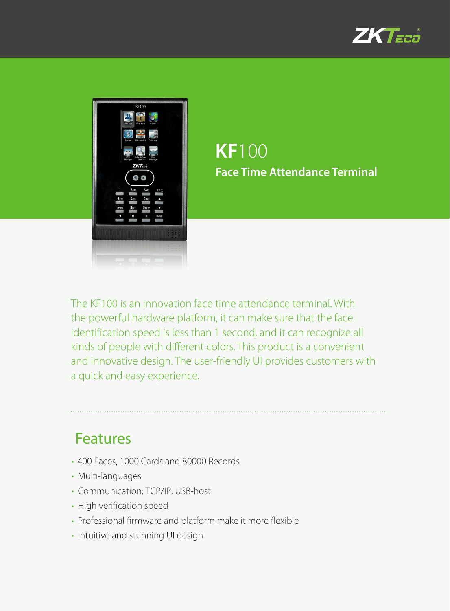



## **KF**100 **Face Time Attendance Terminal**

The KF100 is an innovation face time attendance terminal. With the powerful hardware platform, it can make sure that the face identification speed is less than 1 second, and it can recognize all kinds of people with different colors. This product is a convenient and innovative design. The user-friendly UI provides customers with a quick and easy experience.

### Features

- 400 Faces, 1000 Cards and 80000 Records
- Multi-languages
- Communication: TCP/IP, USB-host
- High verification speed
- Professional firmware and platform make it more flexible
- Intuitive and stunning UI design